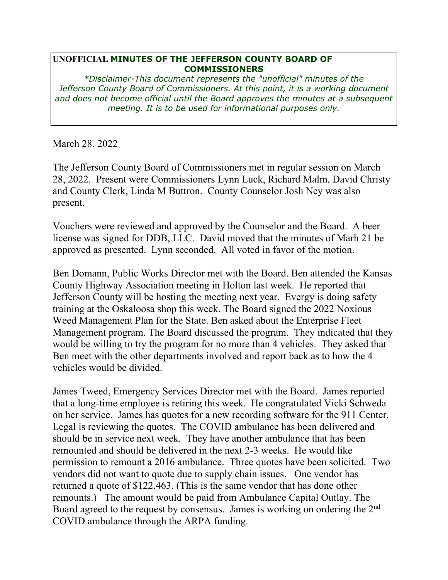## **UNOFFICIAL MINUTES OF THE JEFFERSON COUNTY BOARD OF COMMISSIONERS**

*\*Disclaimer-This document represents the "unofficial" minutes of the Jefferson County Board of Commissioners. At this point, it is a working document and does not become official until the Board approves the minutes at a subsequent meeting. It is to be used for informational purposes only.* 

March 28, 2022

The Jefferson County Board of Commissioners met in regular session on March 28, 2022. Present were Commissioners Lynn Luck, Richard Malm, David Christy and County Clerk, Linda M Buttron. County Counselor Josh Ney was also present.

Vouchers were reviewed and approved by the Counselor and the Board. A beer license was signed for DDB, LLC. David moved that the minutes of Marh 21 be approved as presented. Lynn seconded. All voted in favor of the motion.

Ben Domann, Public Works Director met with the Board. Ben attended the Kansas County Highway Association meeting in Holton last week. He reported that Jefferson County will be hosting the meeting next year. Evergy is doing safety training at the Oskaloosa shop this week. The Board signed the 2022 Noxious Weed Management Plan for the State. Ben asked about the Enterprise Fleet Management program. The Board discussed the program. They indicated that they would be willing to try the program for no more than 4 vehicles. They asked that Ben meet with the other departments involved and report back as to how the 4 vehicles would be divided.

James Tweed, Emergency Services Director met with the Board. James reported that a long-time employee is retiring this week. He congratulated Vicki Schweda on her service. James has quotes for a new recording software for the 911 Center. Legal is reviewing the quotes. The COVID ambulance has been delivered and should be in service next week. They have another ambulance that has been remounted and should be delivered in the next 2-3 weeks. He would like permission to remount a 2016 ambulance. Three quotes have been solicited. Two vendors did not want to quote due to supply chain issues. One vendor has returned a quote of \$122,463. (This is the same vendor that has done other remounts.) The amount would be paid from Ambulance Capital Outlay. The Board agreed to the request by consensus. James is working on ordering the 2nd COVID ambulance through the ARPA funding.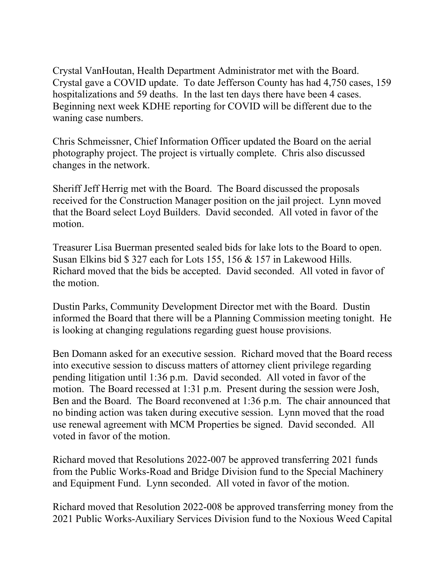Crystal VanHoutan, Health Department Administrator met with the Board. Crystal gave a COVID update. To date Jefferson County has had 4,750 cases, 159 hospitalizations and 59 deaths. In the last ten days there have been 4 cases. Beginning next week KDHE reporting for COVID will be different due to the waning case numbers.

Chris Schmeissner, Chief Information Officer updated the Board on the aerial photography project. The project is virtually complete. Chris also discussed changes in the network.

Sheriff Jeff Herrig met with the Board. The Board discussed the proposals received for the Construction Manager position on the jail project. Lynn moved that the Board select Loyd Builders. David seconded. All voted in favor of the motion.

Treasurer Lisa Buerman presented sealed bids for lake lots to the Board to open. Susan Elkins bid \$ 327 each for Lots 155, 156 & 157 in Lakewood Hills. Richard moved that the bids be accepted. David seconded. All voted in favor of the motion.

Dustin Parks, Community Development Director met with the Board. Dustin informed the Board that there will be a Planning Commission meeting tonight. He is looking at changing regulations regarding guest house provisions.

Ben Domann asked for an executive session. Richard moved that the Board recess into executive session to discuss matters of attorney client privilege regarding pending litigation until 1:36 p.m. David seconded. All voted in favor of the motion. The Board recessed at 1:31 p.m. Present during the session were Josh, Ben and the Board. The Board reconvened at 1:36 p.m. The chair announced that no binding action was taken during executive session. Lynn moved that the road use renewal agreement with MCM Properties be signed. David seconded. All voted in favor of the motion.

Richard moved that Resolutions 2022-007 be approved transferring 2021 funds from the Public Works-Road and Bridge Division fund to the Special Machinery and Equipment Fund. Lynn seconded. All voted in favor of the motion.

Richard moved that Resolution 2022-008 be approved transferring money from the 2021 Public Works-Auxiliary Services Division fund to the Noxious Weed Capital